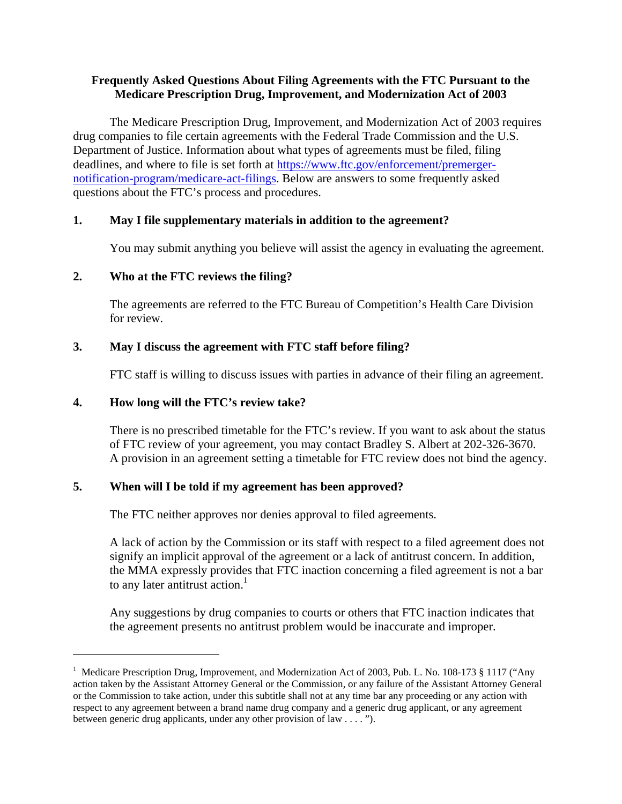## **Frequently Asked Questions About Filing Agreements with the FTC Pursuant to the Medicare Prescription Drug, Improvement, and Modernization Act of 2003**

The Medicare Prescription Drug, Improvement, and Modernization Act of 2003 requires drug companies to file certain agreements with the Federal Trade Commission and the U.S. Department of Justice. Information about what types of agreements must be filed, filing deadlines, and where to file is set forth at https://www.ftc.gov/enforcement/premergernotification-program/medicare-act-filings. Below are answers to some frequently asked questions about the FTC's process and procedures.

## **1. May I file supplementary materials in addition to the agreement?**

You may submit anything you believe will assist the agency in evaluating the agreement.

## **2. Who at the FTC reviews the filing?**

The agreements are referred to the FTC Bureau of Competition's Health Care Division for review.

## **3. May I discuss the agreement with FTC staff before filing?**

FTC staff is willing to discuss issues with parties in advance of their filing an agreement.

#### **4. How long will the FTC's review take?**

 $\overline{a}$ 

There is no prescribed timetable for the FTC's review. If you want to ask about the status of FTC review of your agreement, you may contact Bradley S. Albert at 202-326-3670. A provision in an agreement setting a timetable for FTC review does not bind the agency.

#### **5. When will I be told if my agreement has been approved?**

The FTC neither approves nor denies approval to filed agreements.

A lack of action by the Commission or its staff with respect to a filed agreement does not signify an implicit approval of the agreement or a lack of antitrust concern. In addition, the MMA expressly provides that FTC inaction concerning a filed agreement is not a bar to any later antitrust action.<sup>1</sup>

Any suggestions by drug companies to courts or others that FTC inaction indicates that the agreement presents no antitrust problem would be inaccurate and improper.

<sup>&</sup>lt;sup>1</sup> Medicare Prescription Drug, Improvement, and Modernization Act of 2003, Pub. L. No. 108-173 § 1117 ("Any action taken by the Assistant Attorney General or the Commission, or any failure of the Assistant Attorney General or the Commission to take action, under this subtitle shall not at any time bar any proceeding or any action with respect to any agreement between a brand name drug company and a generic drug applicant, or any agreement between generic drug applicants, under any other provision of law . . . . ").